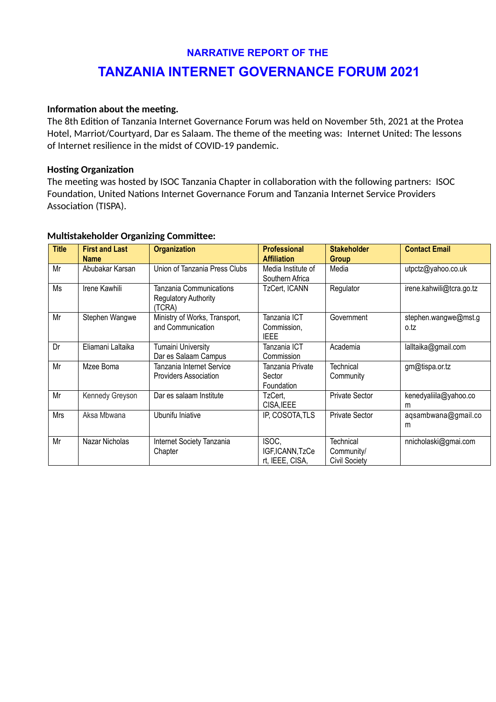## **NARRATIVE REPORT OF THE**

# **TANZANIA INTERNET GOVERNANCE FORUM 2021**

#### **Information about the meeting.**

The 8th Edition of Tanzania Internet Governance Forum was held on November 5th, 2021 at the Protea Hotel, Marriot/Courtyard, Dar es Salaam. The theme of the meeting was: Internet United: The lessons of Internet resilience in the midst of COVID-19 pandemic.

#### **Hosting Organization**

The meeting was hosted by ISOC Tanzania Chapter in collaboration with the following partners: ISOC Foundation, United Nations Internet Governance Forum and Tanzania Internet Service Providers Association (TISPA).

#### **Multistakeholder Organizing Committee:**

| <b>Title</b> | <b>First and Last</b><br><b>Name</b> | <b>Organization</b>                                              | <b>Professional</b><br><b>Affiliation</b>  | <b>Stakeholder</b><br>Group                     | <b>Contact Email</b>         |
|--------------|--------------------------------------|------------------------------------------------------------------|--------------------------------------------|-------------------------------------------------|------------------------------|
| Mr           | Abubakar Karsan                      | Union of Tanzania Press Clubs                                    | Media Institute of<br>Southern Africa      | Media                                           | utpctz@yahoo.co.uk           |
| Ms           | Irene Kawhili                        | Tanzania Communications<br><b>Regulatory Authority</b><br>(TCRA) | TzCert, ICANN                              | Regulator                                       | irene.kahwili@tcra.go.tz     |
| Mr           | Stephen Wangwe                       | Ministry of Works, Transport,<br>and Communication               | Tanzania ICT<br>Commission,<br><b>IEEE</b> | Government                                      | stephen.wangwe@mst.g<br>o.tz |
| Dr           | Eliamani Laltaika                    | <b>Tumaini University</b><br>Dar es Salaam Campus                | Tanzania ICT<br>Commission                 | Academia                                        | lalltaika@gmail.com          |
| Mr           | Mzee Boma                            | Tanzania Internet Service<br><b>Providers Association</b>        | Tanzania Private<br>Sector<br>Foundation   | Technical<br>Community                          | gm@tispa.or.tz               |
| Mr           | Kennedy Greyson                      | Dar es salaam Institute                                          | TzCert,<br>CISA, IEEE                      | <b>Private Sector</b>                           | kenedyaliila@yahoo.co<br>m   |
| <b>Mrs</b>   | Aksa Mbwana                          | Ubunifu Iniative                                                 | IP, COSOTA, TLS                            | <b>Private Sector</b>                           | aqsambwana@gmail.co<br>m     |
| Mr           | Nazar Nicholas                       | Internet Society Tanzania<br>Chapter                             | ISOC,<br>IGF,ICANN,TzCe<br>rt, IEEE, CISA, | Technical<br>Community/<br><b>Civil Society</b> | nnicholaski@gmai.com         |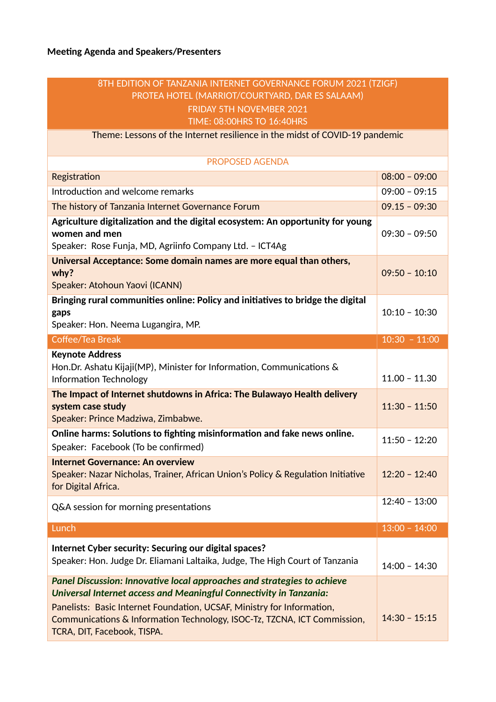## 8TH EDITION OF TANZANIA INTERNET GOVERNANCE FORUM 2021 (TZIGF) PROTEA HOTEL (MARRIOT/COURTYARD, DAR ES SALAAM) FRIDAY 5TH NOVEMBER 2021 TIME: 08:00HRS TO 16:40HRS

Theme: Lessons of the Internet resilience in the midst of COVID-19 pandemic

| <b>PROPOSED AGENDA</b>                                                                                                                                                                                                                                                                                                             |                                    |
|------------------------------------------------------------------------------------------------------------------------------------------------------------------------------------------------------------------------------------------------------------------------------------------------------------------------------------|------------------------------------|
| Registration                                                                                                                                                                                                                                                                                                                       | $08:00 - 09:00$                    |
| Introduction and welcome remarks                                                                                                                                                                                                                                                                                                   | $09:00 - 09:15$                    |
| The history of Tanzania Internet Governance Forum                                                                                                                                                                                                                                                                                  | $09.15 - 09:30$                    |
| Agriculture digitalization and the digital ecosystem: An opportunity for young<br>women and men<br>Speaker: Rose Funja, MD, Agriinfo Company Ltd. - ICT4Ag                                                                                                                                                                         | $09:30 - 09:50$                    |
| Universal Acceptance: Some domain names are more equal than others,<br>why?<br>Speaker: Atohoun Yaovi (ICANN)                                                                                                                                                                                                                      | $09:50 - 10:10$                    |
| Bringing rural communities online: Policy and initiatives to bridge the digital<br>gaps<br>Speaker: Hon. Neema Lugangira, MP.                                                                                                                                                                                                      | $10:10 - 10:30$                    |
| Coffee/Tea Break                                                                                                                                                                                                                                                                                                                   | $10:30 - 11:00$                    |
| <b>Keynote Address</b><br>Hon.Dr. Ashatu Kijaji(MP), Minister for Information, Communications &<br><b>Information Technology</b><br>The Impact of Internet shutdowns in Africa: The Bulawayo Health delivery<br>system case study<br>Speaker: Prince Madziwa, Zimbabwe.                                                            | $11.00 - 11.30$<br>$11:30 - 11:50$ |
| Online harms: Solutions to fighting misinformation and fake news online.<br>Speaker: Facebook (To be confirmed)                                                                                                                                                                                                                    | $11:50 - 12:20$                    |
| <b>Internet Governance: An overview</b><br>Speaker: Nazar Nicholas, Trainer, African Union's Policy & Regulation Initiative<br>for Digital Africa.                                                                                                                                                                                 | $12:20 - 12:40$                    |
| Q&A session for morning presentations                                                                                                                                                                                                                                                                                              | $12:40 - 13:00$                    |
| Lunch                                                                                                                                                                                                                                                                                                                              | $13:00 - 14:00$                    |
| Internet Cyber security: Securing our digital spaces?<br>Speaker: Hon. Judge Dr. Eliamani Laltaika, Judge, The High Court of Tanzania                                                                                                                                                                                              | $14:00 - 14:30$                    |
| Panel Discussion: Innovative local approaches and strategies to achieve<br>Universal Internet access and Meaningful Connectivity in Tanzania:<br>Panelists: Basic Internet Foundation, UCSAF, Ministry for Information,<br>Communications & Information Technology, ISOC-Tz, TZCNA, ICT Commission,<br>TCRA, DIT, Facebook, TISPA. | $14:30 - 15:15$                    |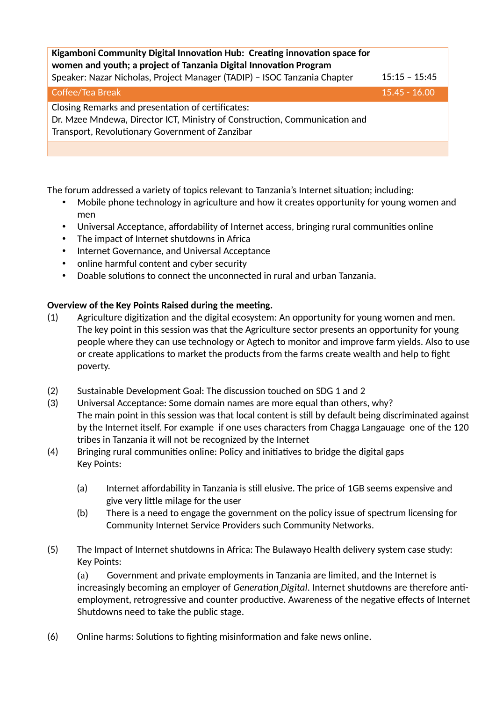| Kigamboni Community Digital Innovation Hub: Creating innovation space for<br>women and youth; a project of Tanzania Digital Innovation Program<br>Speaker: Nazar Nicholas, Project Manager (TADIP) - ISOC Tanzania Chapter | $15:15 - 15:45$ |
|----------------------------------------------------------------------------------------------------------------------------------------------------------------------------------------------------------------------------|-----------------|
| Coffee/Tea Break                                                                                                                                                                                                           | $15.45 - 16.00$ |
| Closing Remarks and presentation of certificates:<br>Dr. Mzee Mndewa, Director ICT, Ministry of Construction, Communication and<br>Transport, Revolutionary Government of Zanzibar                                         |                 |
|                                                                                                                                                                                                                            |                 |

The forum addressed a variety of topics relevant to Tanzania's Internet situation; including:

- Mobile phone technology in agriculture and how it creates opportunity for young women and men
- Universal Acceptance, affordability of Internet access, bringing rural communities online
- The impact of Internet shutdowns in Africa
- Internet Governance, and Universal Acceptance
- online harmful content and cyber security
- Doable solutions to connect the unconnected in rural and urban Tanzania.

## **Overview of the Key Points Raised during the meeting.**

- (1) Agriculture digitization and the digital ecosystem: An opportunity for young women and men. The key point in this session was that the Agriculture sector presents an opportunity for young people where they can use technology or Agtech to monitor and improve farm yields. Also to use or create applications to market the products from the farms create wealth and help to fight poverty.
- (2) Sustainable Development Goal: The discussion touched on SDG 1 and 2
- (3) Universal Acceptance: Some domain names are more equal than others, why? The main point in this session was that local content is still by default being discriminated against by the Internet itself. For example if one uses characters from Chagga Langauage one of the 120 tribes in Tanzania it will not be recognized by the Internet
- (4) Bringing rural communities online: Policy and initiatives to bridge the digital gaps Key Points:
	- (a) Internet affordability in Tanzania is still elusive. The price of 1GB seems expensive and give very little milage for the user
	- (b) There is a need to engage the government on the policy issue of spectrum licensing for Community Internet Service Providers such Community Networks.
- (5) The Impact of Internet shutdowns in Africa: The Bulawayo Health delivery system case study: Key Points:

(a) Government and private employments in Tanzania are limited, and the Internet is increasingly becoming an employer of *Generation Digital*. Internet shutdowns are therefore antiemployment, retrogressive and counter productive. Awareness of the negative effects of Internet Shutdowns need to take the public stage.

(6) Online harms: Solutions to fighting misinformation and fake news online.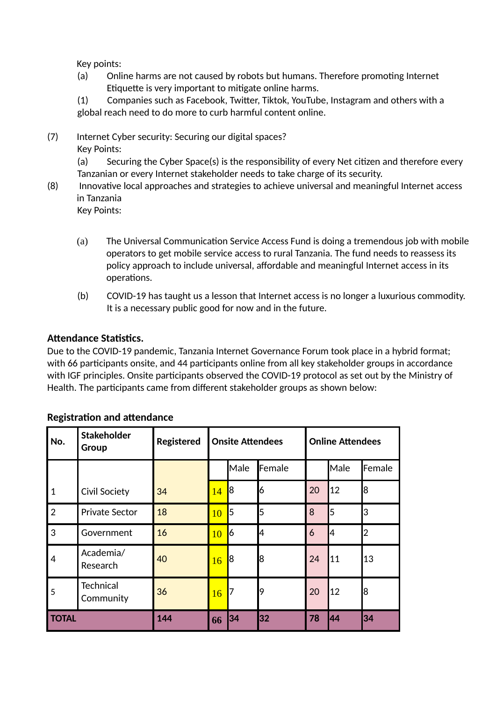Key points:

(a) Online harms are not caused by robots but humans. Therefore promoting Internet Etiquette is very important to mitigate online harms.

(1) Companies such as Facebook, Twitter, Tiktok, YouTube, Instagram and others with a global reach need to do more to curb harmful content online.

(7) Internet Cyber security: Securing our digital spaces? Key Points:

> (a) Securing the Cyber Space(s) is the responsibility of every Net citizen and therefore every Tanzanian or every Internet stakeholder needs to take charge of its security.

(8) Innovative local approaches and strategies to achieve universal and meaningful Internet access in Tanzania

Key Points:

- (a) The Universal Communication Service Access Fund is doing a tremendous job with mobile operators to get mobile service access to rural Tanzania. The fund needs to reassess its policy approach to include universal, affordable and meaningful Internet access in its operations.
- (b) COVID-19 has taught us a lesson that Internet access is no longer a luxurious commodity. It is a necessary public good for now and in the future.

## **Attendance Statistics.**

Due to the COVID-19 pandemic, Tanzania Internet Governance Forum took place in a hybrid format; with 66 participants onsite, and 44 participants online from all key stakeholder groups in accordance with IGF principles. Onsite participants observed the COVID-19 protocol as set out by the Ministry of Health. The participants came from different stakeholder groups as shown below:

| No.            | <b>Stakeholder</b><br>Group   | <b>Registered</b> |    | <b>Onsite Attendees</b> |        |    | <b>Online Attendees</b> |        |
|----------------|-------------------------------|-------------------|----|-------------------------|--------|----|-------------------------|--------|
|                |                               |                   |    | Male                    | Female |    | Male                    | Female |
| $\mathbf{1}$   | <b>Civil Society</b>          | 34                | 14 | 8                       | 6      | 20 | 12                      | 8      |
| $\overline{2}$ | <b>Private Sector</b>         | 18                | 10 | 5                       | 5      | 8  | 5                       | 3      |
| 3              | Government                    | 16                | 10 | 6                       | 4      | 6  | l4                      | 2      |
| 4              | Academia/<br>Research         | 40                | 16 | 8                       | 8      | 24 | 11                      | 13     |
| 5              | <b>Technical</b><br>Community | 36                | 16 | 7                       | 19     | 20 | 12                      | 8      |
| <b>TOTAL</b>   |                               | 144               | 66 | 34                      | 32     | 78 | 44                      | 34     |

## **Registration and attendance**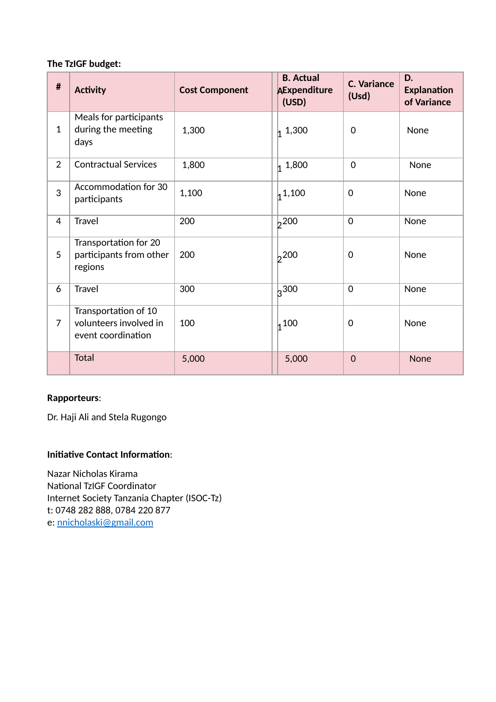## **The TzIGF budget:**

| $\pmb{\#}$     | <b>Activity</b>                                                      | <b>Cost Component</b> | <b>B.</b> Actual<br><b>AExpenditure</b><br>(USD) | <b>C. Variance</b><br>(Usd) | D.<br><b>Explanation</b><br>of Variance |
|----------------|----------------------------------------------------------------------|-----------------------|--------------------------------------------------|-----------------------------|-----------------------------------------|
| $\mathbf{1}$   | Meals for participants<br>during the meeting<br>days                 | 1,300                 | 1,300                                            | $\mathbf 0$                 | None                                    |
| $\overline{2}$ | <b>Contractual Services</b>                                          | 1,800                 | 1,800                                            | $\mathbf 0$                 | None                                    |
| 3              | Accommodation for 30<br>participants                                 | 1,100                 | 1,100                                            | $\mathbf 0$                 | None                                    |
| 4              | Travel                                                               | 200                   | 200                                              | $\Omega$                    | None                                    |
| 5              | Transportation for 20<br>participants from other<br>regions          | 200                   | 200                                              | $\mathbf 0$                 | None                                    |
| 6              | Travel                                                               | 300                   | 300                                              | $\mathbf 0$                 | None                                    |
| $\overline{7}$ | Transportation of 10<br>volunteers involved in<br>event coordination | 100                   | 100                                              | 0                           | None                                    |
|                | <b>Total</b>                                                         | 5,000                 | 5,000                                            | $\mathbf{O}$                | <b>None</b>                             |

## **Rapporteurs**:

Dr. Haji Ali and Stela Rugongo

## **Initiative Contact Information**:

Nazar Nicholas Kirama National TzIGF Coordinator Internet Society Tanzania Chapter (ISOC-Tz) t: 0748 282 888, 0784 220 877 e: [nnicholaski@gmail.com](mailto:nnicholaski@gmail.com)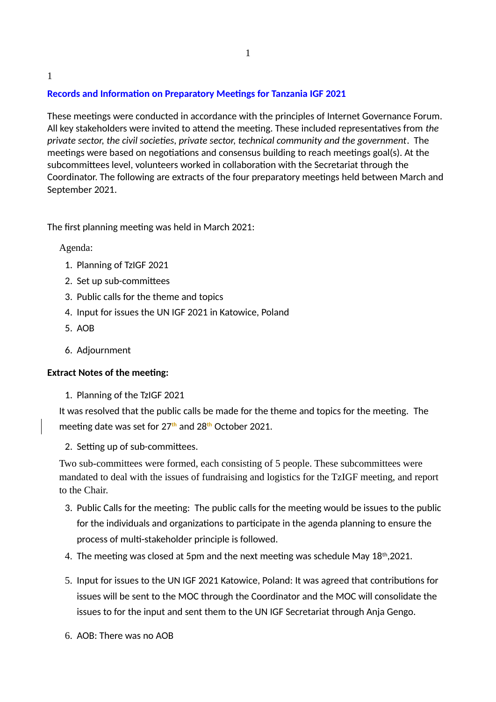# **Records and Information on Preparatory Meetings for Tanzania IGF 2021**

These meetings were conducted in accordance with the principles of Internet Governance Forum. All key stakeholders were invited to attend the meeting. These included representatives from *the private sector, the civil societies, private sector, technical community and the government*. The meetings were based on negotiations and consensus building to reach meetings goal(s). At the subcommittees level, volunteers worked in collaboration with the Secretariat through the Coordinator. The following are extracts of the four preparatory meetings held between March and September 2021.

The first planning meeting was held in March 2021:

Agenda:

1

- 1. Planning of TzIGF 2021
- 2. Set up sub-committees
- 3. Public calls for the theme and topics
- 4. Input for issues the UN IGF 2021 in Katowice, Poland
- 5. AOB
- 6. Adjournment

## **Extract Notes of the meeting:**

1. Planning of the TzIGF 2021

It was resolved that the public calls be made for the theme and topics for the meeting. The meeting date was set for 27**th** and 28**th** October 2021.

2. Setting up of sub-committees.

Two sub-committees were formed, each consisting of 5 people. These subcommittees were mandated to deal with the issues of fundraising and logistics for the TzIGF meeting, and report to the Chair.

- 3. Public Calls for the meeting: The public calls for the meeting would be issues to the public for the individuals and organizations to participate in the agenda planning to ensure the process of multi-stakeholder principle is followed.
- 4. The meeting was closed at 5pm and the next meeting was schedule May 18<sup>th</sup>,2021.
- 5. Input for issues to the UN IGF 2021 Katowice, Poland: It was agreed that contributions for issues will be sent to the MOC through the Coordinator and the MOC will consolidate the issues to for the input and sent them to the UN IGF Secretariat through Anja Gengo.
- 6. AOB: There was no AOB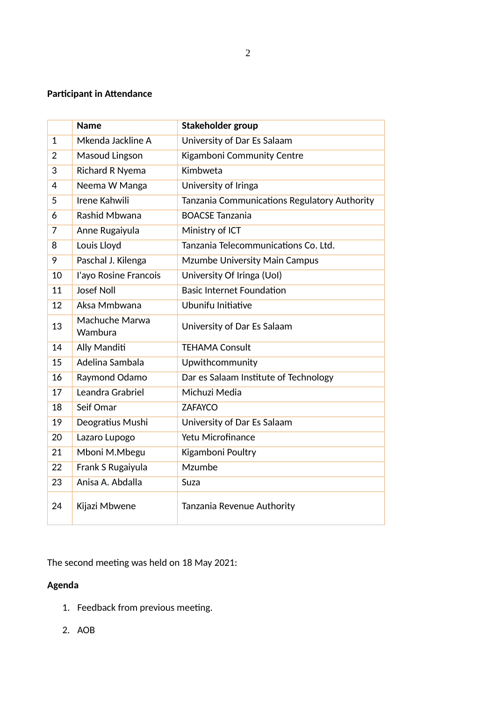## **Participant in Attendance**

|                | <b>Name</b>               | Stakeholder group                            |
|----------------|---------------------------|----------------------------------------------|
| $\mathbf{1}$   | Mkenda Jackline A         | University of Dar Es Salaam                  |
| $\overline{2}$ | Masoud Lingson            | Kigamboni Community Centre                   |
| 3              | Richard R Nyema           | Kimbweta                                     |
| 4              | Neema W Manga             | University of Iringa                         |
| 5              | Irene Kahwili             | Tanzania Communications Regulatory Authority |
| 6              | Rashid Mbwana             | <b>BOACSE Tanzania</b>                       |
| $\overline{7}$ | Anne Rugaiyula            | Ministry of ICT                              |
| 8              | Louis Lloyd               | Tanzania Telecommunications Co. Ltd.         |
| 9              | Paschal J. Kilenga        | Mzumbe University Main Campus                |
| 10             | l'ayo Rosine Francois     | University Of Iringa (Uol)                   |
| 11             | <b>Josef Noll</b>         | <b>Basic Internet Foundation</b>             |
| 12             | Aksa Mmbwana              | Ubunifu Initiative                           |
| 13             | Machuche Marwa<br>Wambura | University of Dar Es Salaam                  |
| 14             | Ally Manditi              | <b>TEHAMA Consult</b>                        |
| 15             | Adelina Sambala           | Upwithcommunity                              |
| 16             | Raymond Odamo             | Dar es Salaam Institute of Technology        |
| 17             | Leandra Grabriel          | Michuzi Media                                |
| 18             | Seif Omar                 | <b>ZAFAYCO</b>                               |
| 19             | Deogratius Mushi          | University of Dar Es Salaam                  |
| 20             | Lazaro Lupogo             | <b>Yetu Microfinance</b>                     |
| 21             | Mboni M.Mbegu             | Kigamboni Poultry                            |
| 22             | Frank S Rugaiyula         | Mzumbe                                       |
| 23             | Anisa A. Abdalla          | Suza                                         |
| 24             | Kijazi Mbwene             | Tanzania Revenue Authority                   |

The second meeting was held on 18 May 2021:

## **Agenda**

- 1. Feedback from previous meeting.
- 2. AOB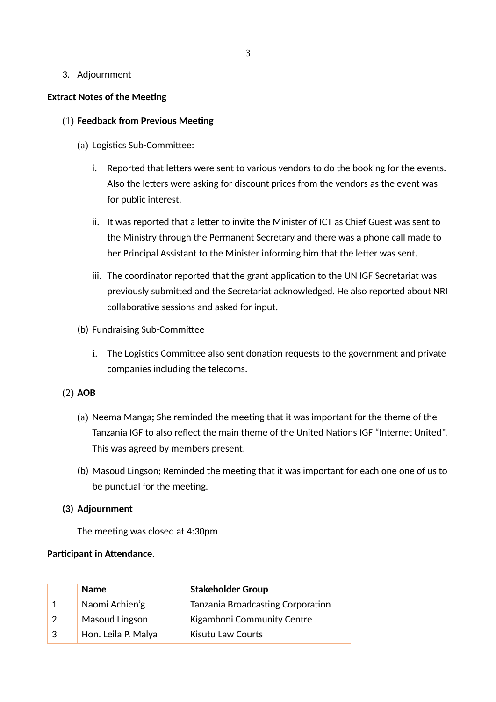#### 3. Adjournment

#### **Extract Notes of the Meeting**

#### (1) **Feedback from Previous Meeting**

- (a) Logistics Sub-Committee:
	- i. Reported that letters were sent to various vendors to do the booking for the events. Also the letters were asking for discount prices from the vendors as the event was for public interest.
	- ii. It was reported that a letter to invite the Minister of ICT as Chief Guest was sent to the Ministry through the Permanent Secretary and there was a phone call made to her Principal Assistant to the Minister informing him that the letter was sent.
	- iii. The coordinator reported that the grant application to the UN IGF Secretariat was previously submitted and the Secretariat acknowledged. He also reported about NRI collaborative sessions and asked for input.
- (b) Fundraising Sub-Committee
	- i. The Logistics Committee also sent donation requests to the government and private companies including the telecoms.

#### (2) **AOB**

- (a) Neema Manga**;** She reminded the meeting that it was important for the theme of the Tanzania IGF to also reflect the main theme of the United Nations IGF "Internet United". This was agreed by members present.
- (b) Masoud Lingson; Reminded the meeting that it was important for each one one of us to be punctual for the meeting.

#### **(3) Adjournment**

The meeting was closed at 4:30pm

#### **Participant in Attendance.**

| <b>Name</b>         | <b>Stakeholder Group</b>          |
|---------------------|-----------------------------------|
| Naomi Achien'g      | Tanzania Broadcasting Corporation |
| Masoud Lingson      | Kigamboni Community Centre        |
| Hon. Leila P. Malya | <b>Kisutu Law Courts</b>          |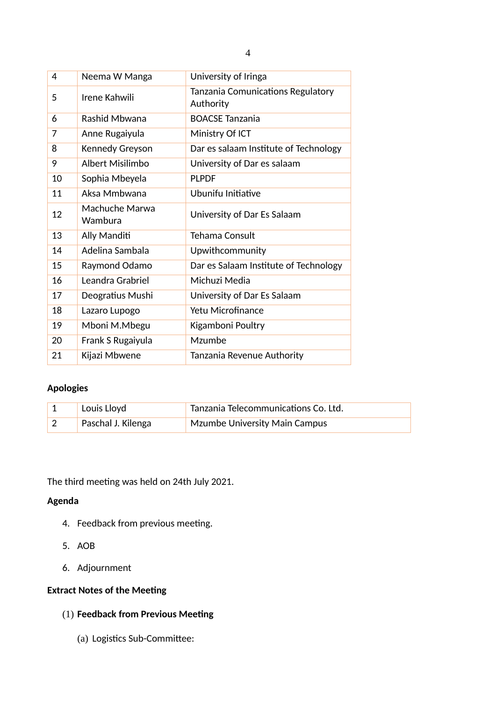| 4  | Neema W Manga             | University of Iringa                           |
|----|---------------------------|------------------------------------------------|
| 5  | Irene Kahwili             | Tanzania Comunications Regulatory<br>Authority |
| 6  | Rashid Mbwana             | <b>BOACSE Tanzania</b>                         |
| 7  | Anne Rugaiyula            | Ministry Of ICT                                |
| 8  | Kennedy Greyson           | Dar es salaam Institute of Technology          |
| 9  | Albert Misilimbo          | University of Dar es salaam                    |
| 10 | Sophia Mbeyela            | <b>PLPDF</b>                                   |
| 11 | Aksa Mmbwana              | Ubunifu Initiative                             |
| 12 | Machuche Marwa<br>Wambura | University of Dar Es Salaam                    |
| 13 | Ally Manditi              | <b>Tehama Consult</b>                          |
| 14 | Adelina Sambala           | Upwithcommunity                                |
| 15 | Raymond Odamo             | Dar es Salaam Institute of Technology          |
| 16 | Leandra Grabriel          | Michuzi Media                                  |
| 17 | Deogratius Mushi          | University of Dar Es Salaam                    |
| 18 | Lazaro Lupogo             | <b>Yetu Microfinance</b>                       |
| 19 | Mboni M.Mbegu             | Kigamboni Poultry                              |
| 20 | Frank S Rugaiyula         | Mzumbe                                         |
| 21 | Kijazi Mbwene             | Tanzania Revenue Authority                     |

## **Apologies**

| Louis Lloyd        | Tanzania Telecommunications Co. Ltd. |
|--------------------|--------------------------------------|
| Paschal J. Kilenga | <b>Mzumbe University Main Campus</b> |

The third meeting was held on 24th July 2021.

## **Agenda**

- 4. Feedback from previous meeting.
- 5. AOB
- 6. Adjournment

## **Extract Notes of the Meeting**

## (1) **Feedback from Previous Meeting**

(a) Logistics Sub-Committee: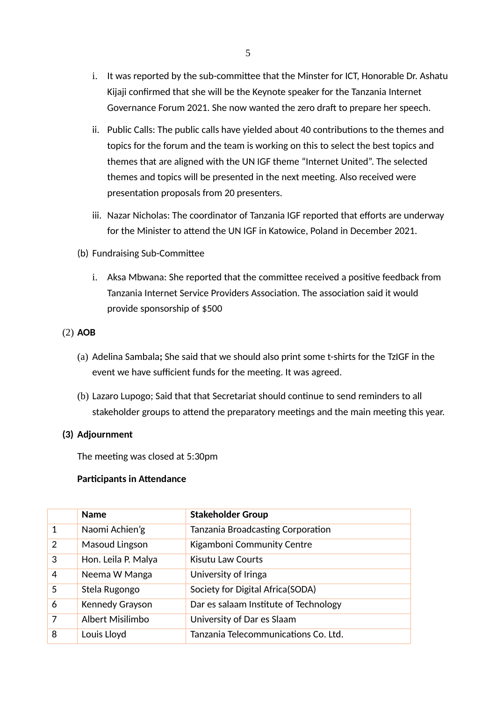- i. It was reported by the sub-committee that the Minster for ICT, Honorable Dr. Ashatu Kijaji confirmed that she will be the Keynote speaker for the Tanzania Internet Governance Forum 2021. She now wanted the zero draft to prepare her speech.
- ii. Public Calls: The public calls have yielded about 40 contributions to the themes and topics for the forum and the team is working on this to select the best topics and themes that are aligned with the UN IGF theme "Internet United". The selected themes and topics will be presented in the next meeting. Also received were presentation proposals from 20 presenters.
- iii. Nazar Nicholas: The coordinator of Tanzania IGF reported that efforts are underway for the Minister to attend the UN IGF in Katowice, Poland in December 2021.
- (b) Fundraising Sub-Committee
	- i. Aksa Mbwana: She reported that the committee received a positive feedback from Tanzania Internet Service Providers Association. The association said it would provide sponsorship of \$500
- (2) **AOB**
	- (a) Adelina Sambala**;** She said that we should also print some t-shirts for the TzIGF in the event we have sufficient funds for the meeting. It was agreed.
	- (b) Lazaro Lupogo; Said that that Secretariat should continue to send reminders to all stakeholder groups to attend the preparatory meetings and the main meeting this year.

#### **(3) Adjournment**

The meeting was closed at 5:30pm

#### **Participants in Attendance**

|   | <b>Name</b>         | <b>Stakeholder Group</b>              |
|---|---------------------|---------------------------------------|
| 1 | Naomi Achien'g      | Tanzania Broadcasting Corporation     |
| 2 | Masoud Lingson      | Kigamboni Community Centre            |
| 3 | Hon. Leila P. Malya | Kisutu Law Courts                     |
| 4 | Neema W Manga       | University of Iringa                  |
| 5 | Stela Rugongo       | Society for Digital Africa(SODA)      |
| 6 | Kennedy Grayson     | Dar es salaam Institute of Technology |
| 7 | Albert Misilimbo    | University of Dar es Slaam            |
| 8 | Louis Lloyd         | Tanzania Telecommunications Co. Ltd.  |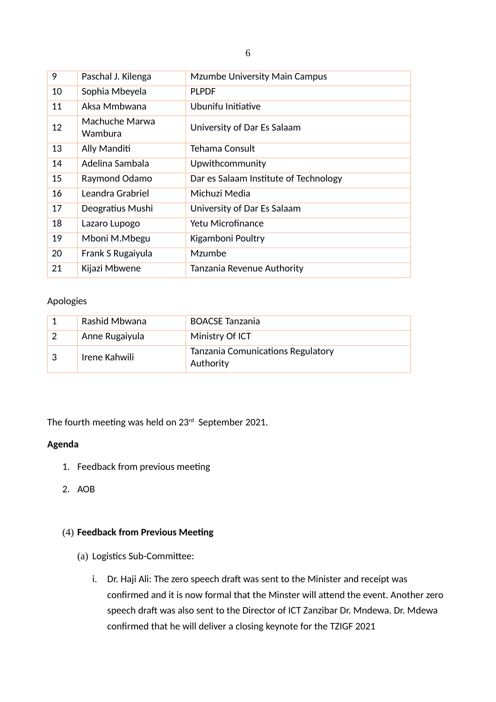| 9  | Paschal J. Kilenga        | <b>Mzumbe University Main Campus</b>  |
|----|---------------------------|---------------------------------------|
| 10 | Sophia Mbeyela            | <b>PLPDF</b>                          |
| 11 | Aksa Mmbwana              | Ubunifu Initiative                    |
| 12 | Machuche Marwa<br>Wambura | University of Dar Es Salaam           |
| 13 | Ally Manditi              | Tehama Consult                        |
| 14 | Adelina Sambala           | Upwithcommunity                       |
| 15 | Raymond Odamo             | Dar es Salaam Institute of Technology |
| 16 | Leandra Grabriel          | Michuzi Media                         |
| 17 | Deogratius Mushi          | University of Dar Es Salaam           |
| 18 | Lazaro Lupogo             | Yetu Microfinance                     |
| 19 | Mboni M.Mbegu             | Kigamboni Poultry                     |
| 20 | Frank S Rugaiyula         | <b>Mzumbe</b>                         |
| 21 | Kijazi Mbwene             | Tanzania Revenue Authority            |

#### Apologies

|    | Rashid Mbwana  | <b>BOACSE Tanzania</b>                         |
|----|----------------|------------------------------------------------|
|    | Anne Rugaiyula | Ministry Of ICT                                |
| -3 | Irene Kahwili  | Tanzania Comunications Regulatory<br>Authority |

The fourth meeting was held on 23rd September 2021.

#### **Agenda**

- 1. Feedback from previous meeting
- 2. AOB

#### (4) **Feedback from Previous Meeting**

- (a) Logistics Sub-Committee:
	- i. Dr. Haji Ali: The zero speech draft was sent to the Minister and receipt was confirmed and it is now formal that the Minster will attend the event. Another zero speech draft was also sent to the Director of ICT Zanzibar Dr. Mndewa. Dr. Mdewa confirmed that he will deliver a closing keynote for the TZIGF 2021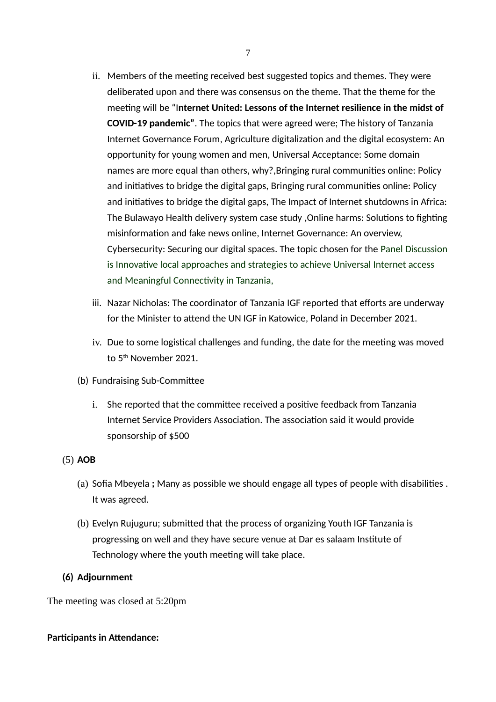- ii. Members of the meeting received best suggested topics and themes. They were deliberated upon and there was consensus on the theme. That the theme for the meeting will be "I**nternet United: Lessons of the Internet resilience in the midst of COVID-19 pandemic"**. The topics that were agreed were; The history of Tanzania Internet Governance Forum, Agriculture digitalization and the digital ecosystem: An opportunity for young women and men, Universal Acceptance: Some domain names are more equal than others, why?,Bringing rural communities online: Policy and initiatives to bridge the digital gaps, Bringing rural communities online: Policy and initiatives to bridge the digital gaps, The Impact of Internet shutdowns in Africa: The Bulawayo Health delivery system case study ,Online harms: Solutions to fighting misinformation and fake news online, Internet Governance: An overview, Cybersecurity: Securing our digital spaces. The topic chosen for the Panel Discussion is Innovative local approaches and strategies to achieve Universal Internet access and Meaningful Connectivity in Tanzania,
- iii. Nazar Nicholas: The coordinator of Tanzania IGF reported that efforts are underway for the Minister to attend the UN IGF in Katowice, Poland in December 2021.
- iv. Due to some logistical challenges and funding, the date for the meeting was moved to 5th November 2021.
- (b) Fundraising Sub-Committee
	- i. She reported that the committee received a positive feedback from Tanzania Internet Service Providers Association. The association said it would provide sponsorship of \$500

## (5) **AOB**

- (a) Sofia Mbeyela **;** Many as possible we should engage all types of people with disabilities . It was agreed.
- (b) Evelyn Rujuguru; submitted that the process of organizing Youth IGF Tanzania is progressing on well and they have secure venue at Dar es salaam Institute of Technology where the youth meeting will take place.

## **(6) Adjournment**

The meeting was closed at 5:20pm

## **Participants in Attendance:**